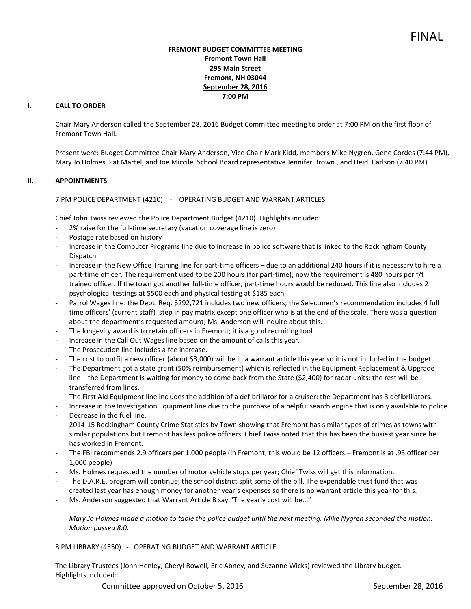## **FREMONT BUDGET COMMITTEE MEETING Fremont Town Hall 295 Main Street Fremont, NH 03044 September 28, 2016 7:00 PM**

# **I. CALL TO ORDER**

Chair Mary Anderson called the September 28, 2016 Budget Committee meeting to order at 7:00 PM on the first floor of Fremont Town Hall.

Present were: Budget Committee Chair Mary Anderson, Vice Chair Mark Kidd, members Mike Nygren, Gene Cordes (7:44 PM), Mary Jo Holmes, Pat Martel, and Joe Miccile, School Board representative Jennifer Brown , and Heidi Carlson (7:40 PM).

#### **II. APPOINTMENTS**

7 PM POLICE DEPARTMENT (4210) - OPERATING BUDGET AND WARRANT ARTICLES

Chief John Twiss reviewed the Police Department Budget (4210). Highlights included:

- 2% raise for the full-time secretary (vacation coverage line is zero)
- Postage rate based on history
- Increase in the Computer Programs line due to increase in police software that is linked to the Rockingham County Dispatch
- Increase in the New Office Training line for part-time officers due to an additional 240 hours if it is necessary to hire a part-time officer. The requirement used to be 200 hours (for part-time); now the requirement is 480 hours per f/t trained officer. If the town got another full-time officer, part-time hours would be reduced. This line also includes 2 psychological testings at \$500 each and physical testing at \$185 each.
- Patrol Wages line: the Dept. Req. \$292,721 includes two new officers; the Selectmen's recommendation includes 4 full time officers' (current staff) step in pay matrix except one officer who is at the end of the scale. There was a question about the department's requested amount; Ms. Anderson will inquire about this.
- The longevity award is to retain officers in Fremont; it is a good recruiting tool.
- Increase in the Call Out Wages line based on the amount of calls this year.
- The Prosecution line includes a fee increase.
- The cost to outfit a new officer (about \$3,000) will be in a warrant article this year so it is not included in the budget.
- The Department got a state grant (50% reimbursement) which is reflected in the Equipment Replacement & Upgrade line – the Department is waiting for money to come back from the State (\$2,400) for radar units; the rest will be transferred from lines.
- The First Aid Equipment line includes the addition of a defibrillator for a cruiser: the Department has 3 defibrillators.
- Increase in the Investigation Equipment line due to the purchase of a helpful search engine that is only available to police.
- Decrease in the fuel line.
- 2014-15 Rockingham County Crime Statistics by Town showing that Fremont has similar types of crimes as towns with similar populations but Fremont has less police officers. Chief Twiss noted that this has been the busiest year since he has worked in Fremont.
- The FBI recommends 2.9 officers per 1,000 people (in Fremont, this would be 12 officers Fremont is at .93 officer per 1,000 people)
- Ms. Holmes requested the number of motor vehicle stops per year; Chief Twiss will get this information.
- The D.A.R.E. program will continue; the school district split some of the bill. The expendable trust fund that was created last year has enough money for another year's expenses so there is no warrant article this year for this.
- Ms. Anderson suggested that Warrant Article B say "The yearly cost will be..."

*Mary Jo Holmes made a motion to table the police budget until the next meeting. Mike Nygren seconded the motion. Motion passed 8:0.* 

8 PM LIBRARY (4550) - OPERATING BUDGET AND WARRANT ARTICLE

 The Library Trustees (John Henley, Cheryl Rowell, Eric Abney, and Suzanne Wicks) reviewed the Library budget. Highlights included:

Committee approved on October 5, 2016 September 28, 2016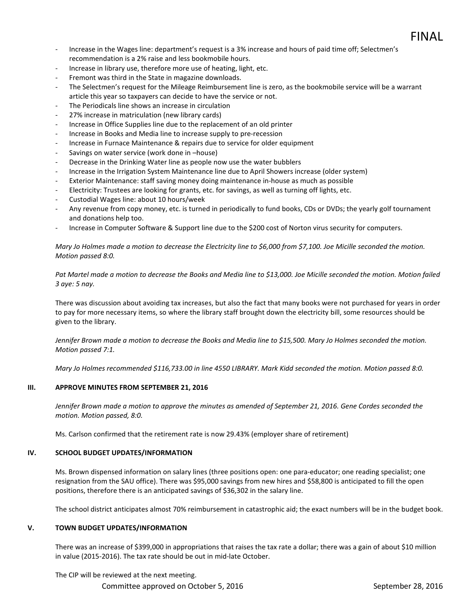- Increase in the Wages line: department's request is a 3% increase and hours of paid time off; Selectmen's recommendation is a 2% raise and less bookmobile hours.
- Increase in library use, therefore more use of heating, light, etc.
- Fremont was third in the State in magazine downloads.
- The Selectmen's request for the Mileage Reimbursement line is zero, as the bookmobile service will be a warrant article this year so taxpayers can decide to have the service or not.
- The Periodicals line shows an increase in circulation
- 27% increase in matriculation (new library cards)
- Increase in Office Supplies line due to the replacement of an old printer
- Increase in Books and Media line to increase supply to pre-recession
- Increase in Furnace Maintenance & repairs due to service for older equipment
- Savings on water service (work done in –house)
- Decrease in the Drinking Water line as people now use the water bubblers
- Increase in the Irrigation System Maintenance line due to April Showers increase (older system)
- Exterior Maintenance: staff saving money doing maintenance in-house as much as possible
- Electricity: Trustees are looking for grants, etc. for savings, as well as turning off lights, etc.
- Custodial Wages line: about 10 hours/week
- Any revenue from copy money, etc. is turned in periodically to fund books, CDs or DVDs; the yearly golf tournament and donations help too.
- Increase in Computer Software & Support line due to the \$200 cost of Norton virus security for computers.

*Mary Jo Holmes made a motion to decrease the Electricity line to \$6,000 from \$7,100. Joe Micille seconded the motion. Motion passed 8:0.* 

*Pat Martel made a motion to decrease the Books and Media line to \$13,000. Joe Micille seconded the motion. Motion failed 3 aye: 5 nay.* 

There was discussion about avoiding tax increases, but also the fact that many books were not purchased for years in order to pay for more necessary items, so where the library staff brought down the electricity bill, some resources should be given to the library.

*Jennifer Brown made a motion to decrease the Books and Media line to \$15,500. Mary Jo Holmes seconded the motion. Motion passed 7:1.* 

*Mary Jo Holmes recommended \$116,733.00 in line 4550 LIBRARY. Mark Kidd seconded the motion. Motion passed 8:0.* 

## **III. APPROVE MINUTES FROM SEPTEMBER 21, 2016**

*Jennifer Brown made a motion to approve the minutes as amended of September 21, 2016. Gene Cordes seconded the motion. Motion passed, 8:0.* 

Ms. Carlson confirmed that the retirement rate is now 29.43% (employer share of retirement)

## **IV. SCHOOL BUDGET UPDATES/INFORMATION**

Ms. Brown dispensed information on salary lines (three positions open: one para-educator; one reading specialist; one resignation from the SAU office). There was \$95,000 savings from new hires and \$58,800 is anticipated to fill the open positions, therefore there is an anticipated savings of \$36,302 in the salary line.

The school district anticipates almost 70% reimbursement in catastrophic aid; the exact numbers will be in the budget book.

## **V. TOWN BUDGET UPDATES/INFORMATION**

There was an increase of \$399,000 in appropriations that raises the tax rate a dollar; there was a gain of about \$10 million in value (2015-2016). The tax rate should be out in mid-late October.

The CIP will be reviewed at the next meeting.

Committee approved on October 5, 2016 September 28, 2016